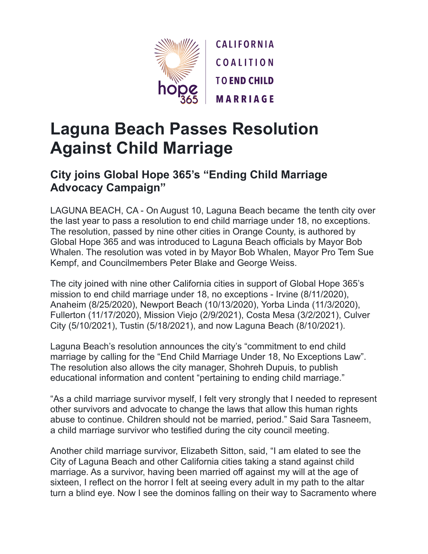

## **Laguna Beach Passes Resolution Against Child Marriage**

## **City joins Global Hope 365's "Ending Child Marriage Advocacy Campaign"**

LAGUNA BEACH, CA - On August 10, Laguna Beach became the tenth city over the last year to pass a resolution to end child marriage under 18, no exceptions. The resolution, passed by nine other cities in Orange County, is authored by Global Hope 365 and was introduced to Laguna Beach officials by Mayor Bob Whalen. The resolution was voted in by Mayor Bob Whalen, Mayor Pro Tem Sue Kempf, and Councilmembers Peter Blake and George Weiss.

The city joined with nine other California cities in support of Global Hope 365's mission to end child marriage under 18, no exceptions - Irvine (8/11/2020), Anaheim (8/25/2020), Newport Beach (10/13/2020), Yorba Linda (11/3/2020), Fullerton (11/17/2020), Mission Viejo (2/9/2021), Costa Mesa (3/2/2021), Culver City (5/10/2021), Tustin (5/18/2021), and now Laguna Beach (8/10/2021).

Laguna Beach's resolution announces the city's "commitment to end child marriage by calling for the "End Child Marriage Under 18, No Exceptions Law". The resolution also allows the city manager, Shohreh Dupuis, to publish educational information and content "pertaining to ending child marriage."

"As a child marriage survivor myself, I felt very strongly that I needed to represent other survivors and advocate to change the laws that allow this human rights abuse to continue. Children should not be married, period." Said Sara Tasneem, a child marriage survivor who testified during the city council meeting.

Another child marriage survivor, Elizabeth Sitton, said, "I am elated to see the City of Laguna Beach and other California cities taking a stand against child marriage. As a survivor, having been married off against my will at the age of sixteen, I reflect on the horror I felt at seeing every adult in my path to the altar turn a blind eye. Now I see the dominos falling on their way to Sacramento where